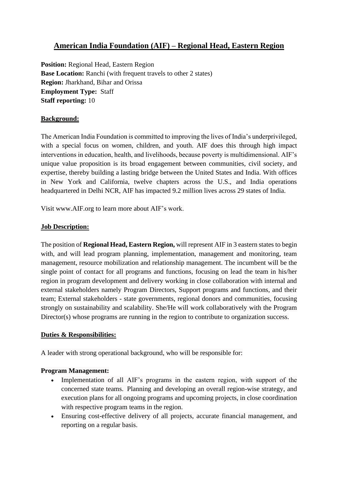# **American India Foundation (AIF) – Regional Head, Eastern Region**

**Position:** Regional Head, Eastern Region **Base Location:** Ranchi (with frequent travels to other 2 states) **Region:** Jharkhand, Bihar and Orissa **Employment Type:** Staff **Staff reporting:** 10

### **Background:**

The American India Foundation is committed to improving the lives of India's underprivileged, with a special focus on women, children, and youth. AIF does this through high impact interventions in education, health, and livelihoods, because poverty is multidimensional. AIF's unique value proposition is its broad engagement between communities, civil society, and expertise, thereby building a lasting bridge between the United States and India. With offices in New York and California, twelve chapters across the U.S., and India operations headquartered in Delhi NCR, AIF has impacted 9.2 million lives across 29 states of India.

Visit www.AIF.org to learn more about AIF's work.

### **Job Description:**

The position of **Regional Head, Eastern Region,** will represent AIF in 3 eastern states to begin with, and will lead program planning, implementation, management and monitoring, team management, resource mobilization and relationship management. The incumbent will be the single point of contact for all programs and functions, focusing on lead the team in his/her region in program development and delivery working in close collaboration with internal and external stakeholders namely Program Directors, Support programs and functions, and their team; External stakeholders - state governments, regional donors and communities, focusing strongly on sustainability and scalability. She/He will work collaboratively with the Program Director(s) whose programs are running in the region to contribute to organization success.

### **Duties & Responsibilities:**

A leader with strong operational background, who will be responsible for:

### **Program Management:**

- Implementation of all AIF's programs in the eastern region, with support of the concerned state teams. Planning and developing an overall region-wise strategy, and execution plans for all ongoing programs and upcoming projects, in close coordination with respective program teams in the region.
- Ensuring cost-effective delivery of all projects, accurate financial management, and reporting on a regular basis.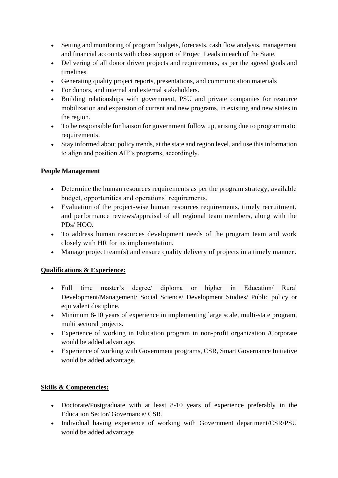- Setting and monitoring of program budgets, forecasts, cash flow analysis, management and financial accounts with close support of Project Leads in each of the State.
- Delivering of all donor driven projects and requirements, as per the agreed goals and timelines.
- Generating quality project reports, presentations, and communication materials
- For donors, and internal and external stakeholders.
- Building relationships with government, PSU and private companies for resource mobilization and expansion of current and new programs, in existing and new states in the region.
- To be responsible for liaison for government follow up, arising due to programmatic requirements.
- Stay informed about policy trends, at the state and region level, and use this information to align and position AIF's programs, accordingly.

## **People Management**

- Determine the human resources requirements as per the program strategy, available budget, opportunities and operations' requirements.
- Evaluation of the project-wise human resources requirements, timely recruitment, and performance reviews/appraisal of all regional team members, along with the PDs/ HOO.
- To address human resources development needs of the program team and work closely with HR for its implementation.
- Manage project team(s) and ensure quality delivery of projects in a timely manner.

## **Qualifications & Experience:**

- Full time master's degree/ diploma or higher in Education/ Rural Development/Management/ Social Science/ Development Studies/ Public policy or equivalent discipline.
- Minimum 8-10 years of experience in implementing large scale, multi-state program, multi sectoral projects.
- Experience of working in Education program in non-profit organization /Corporate would be added advantage.
- Experience of working with Government programs, CSR, Smart Governance Initiative would be added advantage.

## **Skills & Competencies:**

- Doctorate/Postgraduate with at least 8-10 years of experience preferably in the Education Sector/ Governance/ CSR.
- Individual having experience of working with Government department/CSR/PSU would be added advantage